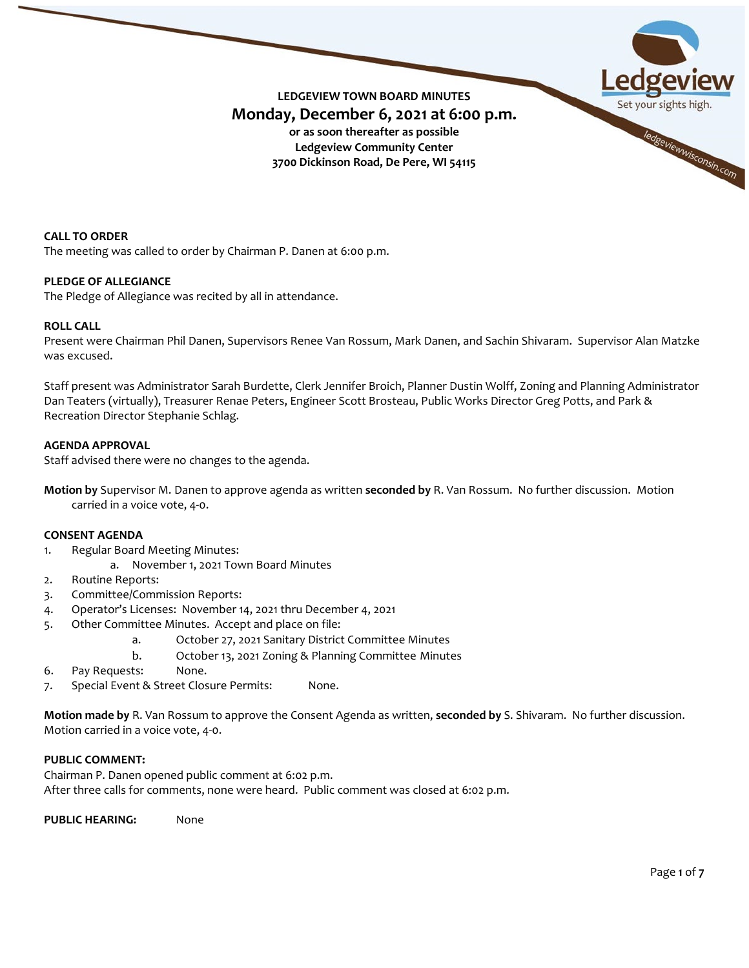

**CALL TO ORDER** The meeting was called to order by Chairman P. Danen at 6:00 p.m.

# **PLEDGE OF ALLEGIANCE**

The Pledge of Allegiance was recited by all in attendance.

#### **ROLL CALL**

Present were Chairman Phil Danen, Supervisors Renee Van Rossum, Mark Danen, and Sachin Shivaram. Supervisor Alan Matzke was excused.

Staff present was Administrator Sarah Burdette, Clerk Jennifer Broich, Planner Dustin Wolff, Zoning and Planning Administrator Dan Teaters (virtually), Treasurer Renae Peters, Engineer Scott Brosteau, Public Works Director Greg Potts, and Park & Recreation Director Stephanie Schlag.

#### **AGENDA APPROVAL**

Staff advised there were no changes to the agenda.

**Motion by** Supervisor M. Danen to approve agenda as written **seconded by** R. Van Rossum. No further discussion. Motion carried in a voice vote, 4-0.

#### **CONSENT AGENDA**

- 1. Regular Board Meeting Minutes:
	- a. November 1, 2021 Town Board Minutes
- 2. Routine Reports:
- 3. Committee/Commission Reports:
- 4. Operator's Licenses: November 14, 2021 thru December 4, 2021
- 5. Other Committee Minutes. Accept and place on file:
	- a. October 27, 2021 Sanitary District Committee Minutes
	- b. October 13, 2021 Zoning & Planning Committee Minutes
- 6. Pay Requests: None.
- 7. Special Event & Street Closure Permits: None.

**Motion made by** R. Van Rossum to approve the Consent Agenda as written, **seconded by** S. Shivaram. No further discussion. Motion carried in a voice vote, 4-0.

# **PUBLIC COMMENT:**

Chairman P. Danen opened public comment at 6:02 p.m. After three calls for comments, none were heard. Public comment was closed at 6:02 p.m.

**PUBLIC HEARING:** None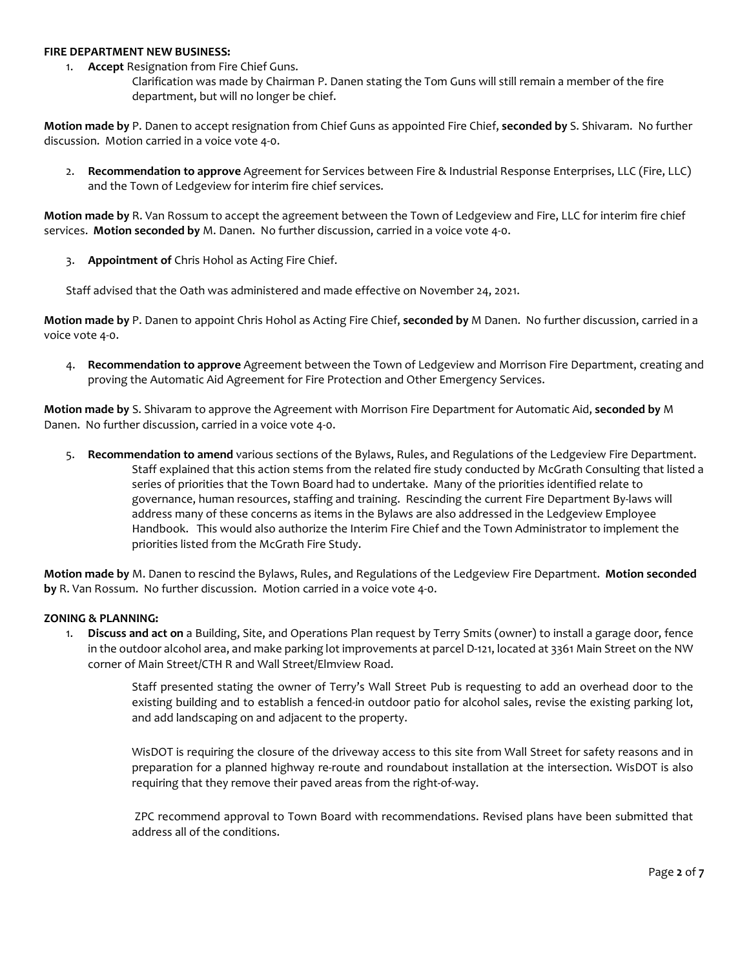#### **FIRE DEPARTMENT NEW BUSINESS:**

- 1. **Accept** Resignation from Fire Chief Guns.
	- Clarification was made by Chairman P. Danen stating the Tom Guns will still remain a member of the fire department, but will no longer be chief.

**Motion made by** P. Danen to accept resignation from Chief Guns as appointed Fire Chief, **seconded by** S. Shivaram. No further discussion. Motion carried in a voice vote 4-0.

2. **Recommendation to approve** Agreement for Services between Fire & Industrial Response Enterprises, LLC (Fire, LLC) and the Town of Ledgeview for interim fire chief services.

**Motion made by** R. Van Rossum to accept the agreement between the Town of Ledgeview and Fire, LLC for interim fire chief services. **Motion seconded by** M. Danen. No further discussion, carried in a voice vote 4-0.

3. **Appointment of** Chris Hohol as Acting Fire Chief.

Staff advised that the Oath was administered and made effective on November 24, 2021.

**Motion made by** P. Danen to appoint Chris Hohol as Acting Fire Chief, **seconded by** M Danen. No further discussion, carried in a voice vote 4-0.

4. **Recommendation to approve** Agreement between the Town of Ledgeview and Morrison Fire Department, creating and proving the Automatic Aid Agreement for Fire Protection and Other Emergency Services.

**Motion made by** S. Shivaram to approve the Agreement with Morrison Fire Department for Automatic Aid, **seconded by** M Danen. No further discussion, carried in a voice vote 4-0.

5. **Recommendation to amend** various sections of the Bylaws, Rules, and Regulations of the Ledgeview Fire Department. Staff explained that this action stems from the related fire study conducted by McGrath Consulting that listed a series of priorities that the Town Board had to undertake. Many of the priorities identified relate to governance, human resources, staffing and training. Rescinding the current Fire Department By-laws will address many of these concerns as items in the Bylaws are also addressed in the Ledgeview Employee Handbook. This would also authorize the Interim Fire Chief and the Town Administrator to implement the priorities listed from the McGrath Fire Study.

**Motion made by** M. Danen to rescind the Bylaws, Rules, and Regulations of the Ledgeview Fire Department. **Motion seconded by** R. Van Rossum. No further discussion. Motion carried in a voice vote 4-0.

# **ZONING & PLANNING:**

1. **Discuss and act on** a Building, Site, and Operations Plan request by Terry Smits (owner) to install a garage door, fence in the outdoor alcohol area, and make parking lot improvements at parcel D-121, located at 3361 Main Street on the NW corner of Main Street/CTH R and Wall Street/Elmview Road.

> Staff presented stating the owner of Terry's Wall Street Pub is requesting to add an overhead door to the existing building and to establish a fenced-in outdoor patio for alcohol sales, revise the existing parking lot, and add landscaping on and adjacent to the property.

> WisDOT is requiring the closure of the driveway access to this site from Wall Street for safety reasons and in preparation for a planned highway re-route and roundabout installation at the intersection. WisDOT is also requiring that they remove their paved areas from the right-of-way.

> ZPC recommend approval to Town Board with recommendations. Revised plans have been submitted that address all of the conditions.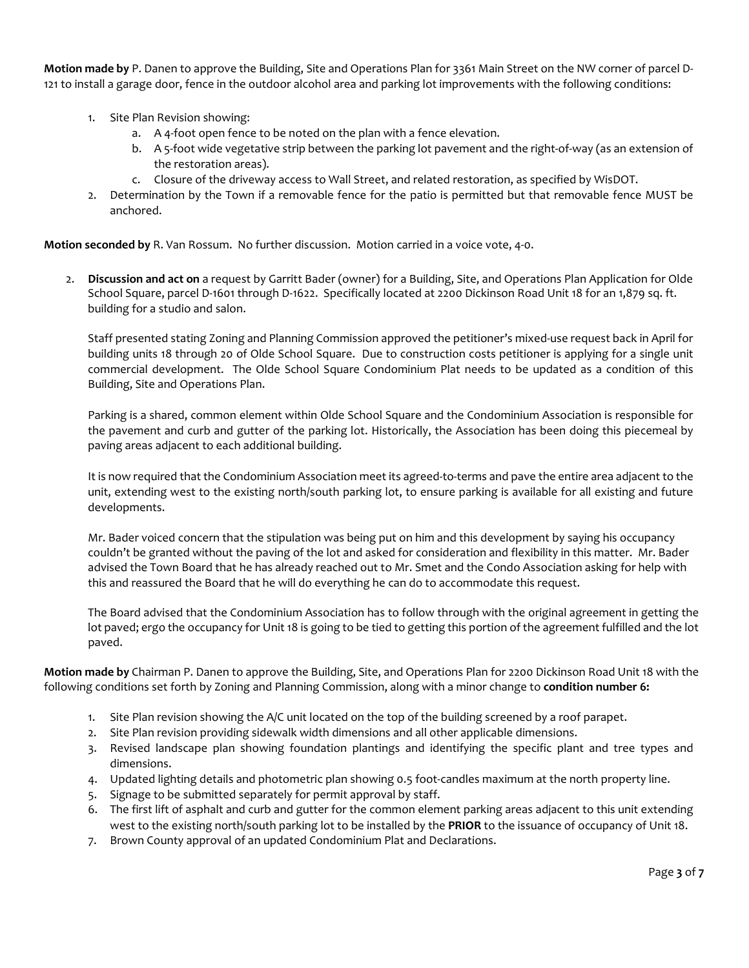**Motion made by** P. Danen to approve the Building, Site and Operations Plan for 3361 Main Street on the NW corner of parcel D-121 to install a garage door, fence in the outdoor alcohol area and parking lot improvements with the following conditions:

- 1. Site Plan Revision showing:
	- a. A 4-foot open fence to be noted on the plan with a fence elevation.
	- b. A 5-foot wide vegetative strip between the parking lot pavement and the right-of-way (as an extension of the restoration areas).
	- c. Closure of the driveway access to Wall Street, and related restoration, as specified by WisDOT.
- 2. Determination by the Town if a removable fence for the patio is permitted but that removable fence MUST be anchored.

**Motion seconded by** R. Van Rossum. No further discussion. Motion carried in a voice vote, 4-0.

2. **Discussion and act on** a request by Garritt Bader (owner) for a Building, Site, and Operations Plan Application for Olde School Square, parcel D-1601 through D-1622. Specifically located at 2200 Dickinson Road Unit 18 for an 1,879 sq. ft. building for a studio and salon.

Staff presented stating Zoning and Planning Commission approved the petitioner's mixed-use request back in April for building units 18 through 20 of Olde School Square. Due to construction costs petitioner is applying for a single unit commercial development. The Olde School Square Condominium Plat needs to be updated as a condition of this Building, Site and Operations Plan.

Parking is a shared, common element within Olde School Square and the Condominium Association is responsible for the pavement and curb and gutter of the parking lot. Historically, the Association has been doing this piecemeal by paving areas adjacent to each additional building.

It is now required that the Condominium Association meet its agreed-to-terms and pave the entire area adjacent to the unit, extending west to the existing north/south parking lot, to ensure parking is available for all existing and future developments.

Mr. Bader voiced concern that the stipulation was being put on him and this development by saying his occupancy couldn't be granted without the paving of the lot and asked for consideration and flexibility in this matter. Mr. Bader advised the Town Board that he has already reached out to Mr. Smet and the Condo Association asking for help with this and reassured the Board that he will do everything he can do to accommodate this request.

The Board advised that the Condominium Association has to follow through with the original agreement in getting the lot paved; ergo the occupancy for Unit 18 is going to be tied to getting this portion of the agreement fulfilled and the lot paved.

**Motion made by** Chairman P. Danen to approve the Building, Site, and Operations Plan for 2200 Dickinson Road Unit 18 with the following conditions set forth by Zoning and Planning Commission, along with a minor change to **condition number 6:**

- 1. Site Plan revision showing the A/C unit located on the top of the building screened by a roof parapet.
- 2. Site Plan revision providing sidewalk width dimensions and all other applicable dimensions.
- 3. Revised landscape plan showing foundation plantings and identifying the specific plant and tree types and dimensions.
- 4. Updated lighting details and photometric plan showing 0.5 foot-candles maximum at the north property line.
- 5. Signage to be submitted separately for permit approval by staff.
- 6. The first lift of asphalt and curb and gutter for the common element parking areas adjacent to this unit extending west to the existing north/south parking lot to be installed by the **PRIOR** to the issuance of occupancy of Unit 18.
- 7. Brown County approval of an updated Condominium Plat and Declarations.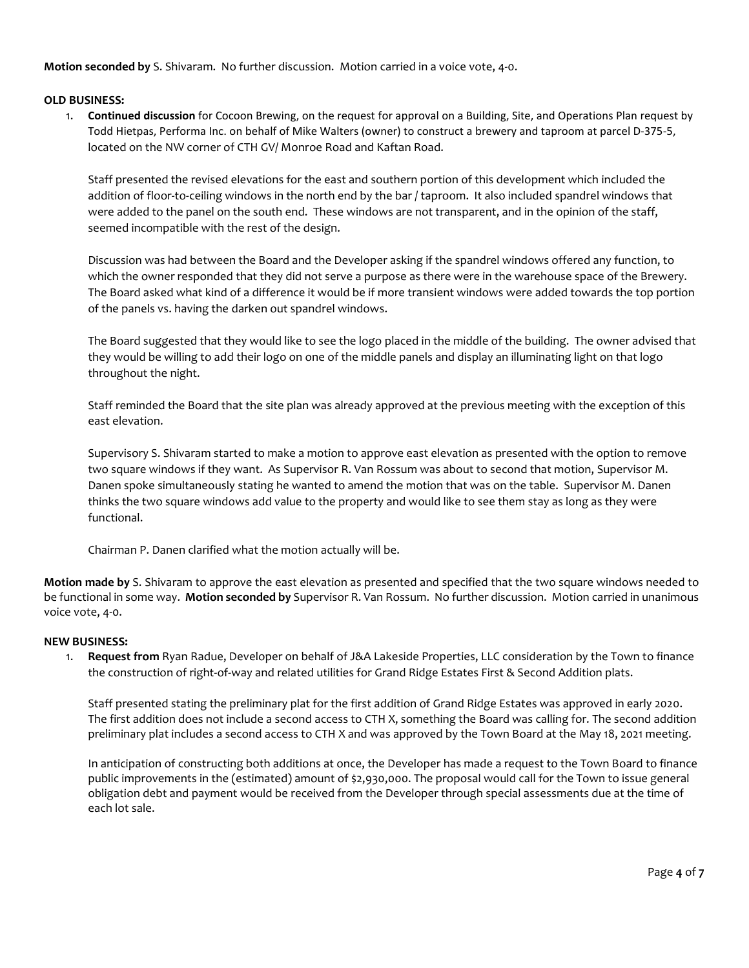**Motion seconded by** S. Shivaram. No further discussion. Motion carried in a voice vote, 4-0.

# **OLD BUSINESS:**

1. **Continued discussion** for Cocoon Brewing, on the request for approval on a Building, Site, and Operations Plan request by Todd Hietpas, Performa Inc. on behalf of Mike Walters (owner) to construct a brewery and taproom at parcel D-375-5, located on the NW corner of CTH GV/ Monroe Road and Kaftan Road.

Staff presented the revised elevations for the east and southern portion of this development which included the addition of floor-to-ceiling windows in the north end by the bar / taproom. It also included spandrel windows that were added to the panel on the south end. These windows are not transparent, and in the opinion of the staff, seemed incompatible with the rest of the design.

Discussion was had between the Board and the Developer asking if the spandrel windows offered any function, to which the owner responded that they did not serve a purpose as there were in the warehouse space of the Brewery. The Board asked what kind of a difference it would be if more transient windows were added towards the top portion of the panels vs. having the darken out spandrel windows.

The Board suggested that they would like to see the logo placed in the middle of the building. The owner advised that they would be willing to add their logo on one of the middle panels and display an illuminating light on that logo throughout the night.

Staff reminded the Board that the site plan was already approved at the previous meeting with the exception of this east elevation.

Supervisory S. Shivaram started to make a motion to approve east elevation as presented with the option to remove two square windows if they want. As Supervisor R. Van Rossum was about to second that motion, Supervisor M. Danen spoke simultaneously stating he wanted to amend the motion that was on the table. Supervisor M. Danen thinks the two square windows add value to the property and would like to see them stay as long as they were functional.

Chairman P. Danen clarified what the motion actually will be.

**Motion made by** S. Shivaram to approve the east elevation as presented and specified that the two square windows needed to be functional in some way. **Motion seconded by** Supervisor R. Van Rossum. No further discussion. Motion carried in unanimous voice vote, 4-0.

# **NEW BUSINESS:**

1. **Request from** Ryan Radue, Developer on behalf of J&A Lakeside Properties, LLC consideration by the Town to finance the construction of right-of-way and related utilities for Grand Ridge Estates First & Second Addition plats.

Staff presented stating the preliminary plat for the first addition of Grand Ridge Estates was approved in early 2020. The first addition does not include a second access to CTH X, something the Board was calling for. The second addition preliminary plat includes a second access to CTH X and was approved by the Town Board at the May 18, 2021 meeting.

In anticipation of constructing both additions at once, the Developer has made a request to the Town Board to finance public improvements in the (estimated) amount of \$2,930,000. The proposal would call for the Town to issue general obligation debt and payment would be received from the Developer through special assessments due at the time of each lot sale.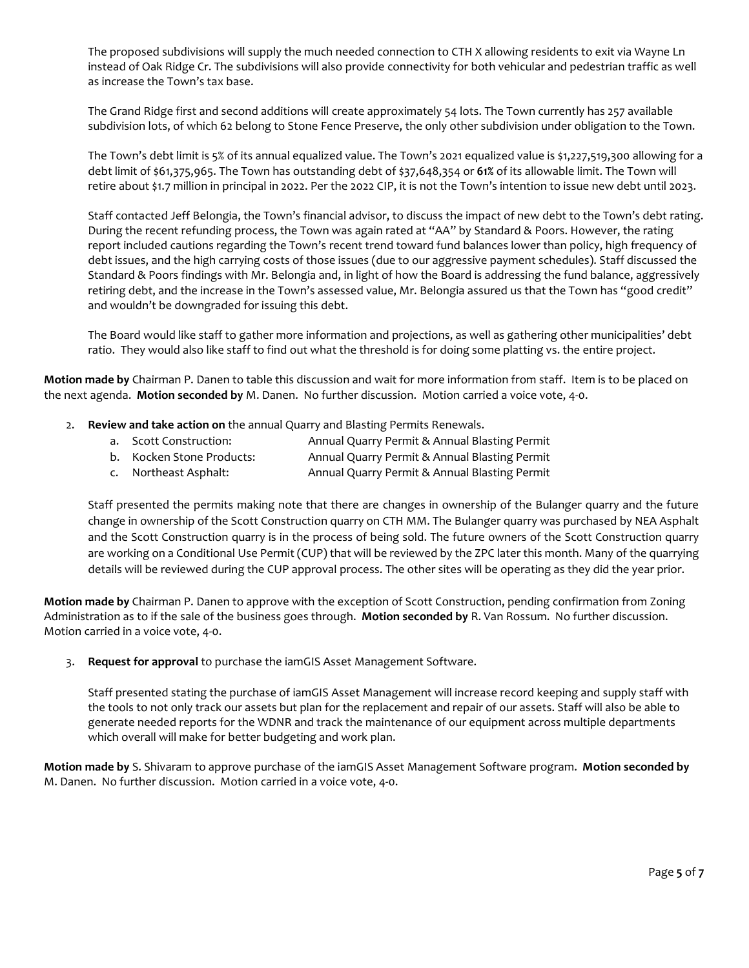The proposed subdivisions will supply the much needed connection to CTH X allowing residents to exit via Wayne Ln instead of Oak Ridge Cr. The subdivisions will also provide connectivity for both vehicular and pedestrian traffic as well as increase the Town's tax base.

The Grand Ridge first and second additions will create approximately 54 lots. The Town currently has 257 available subdivision lots, of which 62 belong to Stone Fence Preserve, the only other subdivision under obligation to the Town.

The Town's debt limit is 5% of its annual equalized value. The Town's 2021 equalized value is \$1,227,519,300 allowing for a debt limit of \$61,375,965. The Town has outstanding debt of \$37,648,354 or **61%** of its allowable limit. The Town will retire about \$1.7 million in principal in 2022. Per the 2022 CIP, it is not the Town's intention to issue new debt until 2023.

Staff contacted Jeff Belongia, the Town's financial advisor, to discuss the impact of new debt to the Town's debt rating. During the recent refunding process, the Town was again rated at "AA" by Standard & Poors. However, the rating report included cautions regarding the Town's recent trend toward fund balances lower than policy, high frequency of debt issues, and the high carrying costs of those issues (due to our aggressive payment schedules). Staff discussed the Standard & Poors findings with Mr. Belongia and, in light of how the Board is addressing the fund balance, aggressively retiring debt, and the increase in the Town's assessed value, Mr. Belongia assured us that the Town has "good credit" and wouldn't be downgraded for issuing this debt.

The Board would like staff to gather more information and projections, as well as gathering other municipalities' debt ratio. They would also like staff to find out what the threshold is for doing some platting vs. the entire project.

**Motion made by** Chairman P. Danen to table this discussion and wait for more information from staff. Item is to be placed on the next agenda. **Motion seconded by** M. Danen. No further discussion. Motion carried a voice vote, 4-0.

- 2. **Review and take action on** the annual Quarry and Blasting Permits Renewals.
	- a. Scott Construction: Annual Quarry Permit & Annual Blasting Permit
	- b. Kocken Stone Products: Annual Quarry Permit & Annual Blasting Permit
	- c. Northeast Asphalt: Annual Quarry Permit & Annual Blasting Permit

Staff presented the permits making note that there are changes in ownership of the Bulanger quarry and the future change in ownership of the Scott Construction quarry on CTH MM. The Bulanger quarry was purchased by NEA Asphalt and the Scott Construction quarry is in the process of being sold. The future owners of the Scott Construction quarry are working on a Conditional Use Permit (CUP) that will be reviewed by the ZPC later this month. Many of the quarrying details will be reviewed during the CUP approval process. The other sites will be operating as they did the year prior.

**Motion made by** Chairman P. Danen to approve with the exception of Scott Construction, pending confirmation from Zoning Administration as to if the sale of the business goes through. **Motion seconded by** R. Van Rossum. No further discussion. Motion carried in a voice vote, 4-0.

3. **Request for approval** to purchase the iamGIS Asset Management Software.

Staff presented stating the purchase of iamGIS Asset Management will increase record keeping and supply staff with the tools to not only track our assets but plan for the replacement and repair of our assets. Staff will also be able to generate needed reports for the WDNR and track the maintenance of our equipment across multiple departments which overall will make for better budgeting and work plan.

**Motion made by** S. Shivaram to approve purchase of the iamGIS Asset Management Software program. **Motion seconded by** M. Danen. No further discussion. Motion carried in a voice vote, 4-0.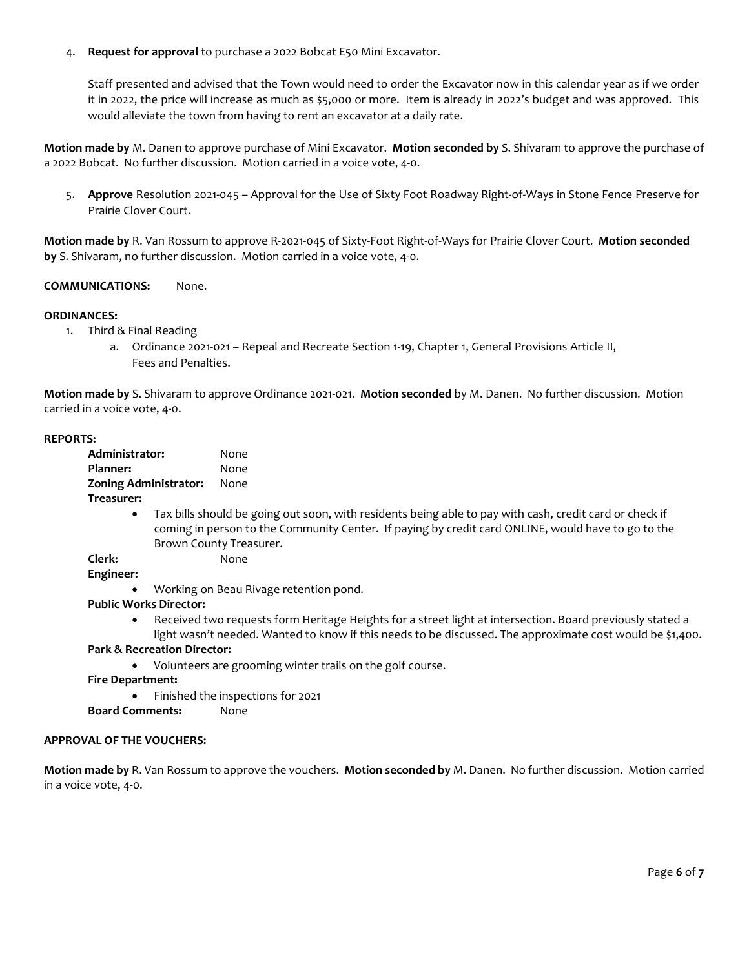4. **Request for approval** to purchase a 2022 Bobcat E50 Mini Excavator.

Staff presented and advised that the Town would need to order the Excavator now in this calendar year as if we order it in 2022, the price will increase as much as \$5,000 or more. Item is already in 2022's budget and was approved. This would alleviate the town from having to rent an excavator at a daily rate.

**Motion made by** M. Danen to approve purchase of Mini Excavator. **Motion seconded by** S. Shivaram to approve the purchase of a 2022 Bobcat. No further discussion. Motion carried in a voice vote, 4-0.

5. **Approve** Resolution 2021-045 – Approval for the Use of Sixty Foot Roadway Right-of-Ways in Stone Fence Preserve for Prairie Clover Court.

**Motion made by** R. Van Rossum to approve R-2021-045 of Sixty-Foot Right-of-Ways for Prairie Clover Court. **Motion seconded by** S. Shivaram, no further discussion. Motion carried in a voice vote, 4-0.

# **COMMUNICATIONS:** None.

# **ORDINANCES:**

- 1. Third & Final Reading
	- a. Ordinance 2021-021 Repeal and Recreate Section 1-19, Chapter 1, General Provisions Article II, Fees and Penalties.

**Motion made by** S. Shivaram to approve Ordinance 2021-021. **Motion seconded** by M. Danen. No further discussion. Motion carried in a voice vote, 4-0.

#### **REPORTS:**

| Administrator:               | None |
|------------------------------|------|
| Planner:                     | None |
| <b>Zoning Administrator:</b> | None |
| Treasurer:                   |      |

• Tax bills should be going out soon, with residents being able to pay with cash, credit card or check if coming in person to the Community Center. If paying by credit card ONLINE, would have to go to the Brown County Treasurer.

# **Clerk:** None

**Engineer:**

• Working on Beau Rivage retention pond.

# **Public Works Director:**

• Received two requests form Heritage Heights for a street light at intersection. Board previously stated a light wasn't needed. Wanted to know if this needs to be discussed. The approximate cost would be \$1,400.

# **Park & Recreation Director:**

• Volunteers are grooming winter trails on the golf course.

**Fire Department:**

• Finished the inspections for 2021

# **Board Comments:** None

# **APPROVAL OF THE VOUCHERS:**

**Motion made by** R. Van Rossum to approve the vouchers. **Motion seconded by** M. Danen. No further discussion. Motion carried in a voice vote, 4-0.